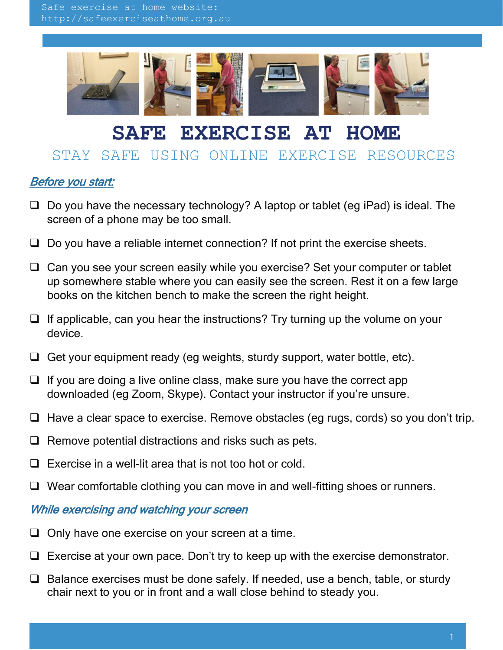

## **SAFE EXERCISE AT HOME**

## STAY SAFE USING ONLINE EXERCISE RESOURCES

## Before you start:

- $\Box$  Do you have the necessary technology? A laptop or tablet (eg iPad) is ideal. The screen of a phone may be too small.
- $\Box$  Do you have a reliable internet connection? If not print the exercise sheets.
- $\Box$  Can you see your screen easily while you exercise? Set your computer or tablet up somewhere stable where you can easily see the screen. Rest it on a few large books on the kitchen bench to make the screen the right height.
- $\Box$  If applicable, can you hear the instructions? Try turning up the volume on your device.
- $\Box$  Get your equipment ready (eg weights, sturdy support, water bottle, etc).
- $\Box$  If you are doing a live online class, make sure you have the correct app downloaded (eg Zoom, Skype). Contact your instructor if you're unsure.
- $\Box$  Have a clear space to exercise. Remove obstacles (eg rugs, cords) so you don't trip.
- $\Box$  Remove potential distractions and risks such as pets.
- $\Box$  Exercise in a well-lit area that is not too hot or cold.
- $\Box$  Wear comfortable clothing you can move in and well-fitting shoes or runners.

## While exercising and watching your screen

- $\Box$  Only have one exercise on your screen at a time.
- $\Box$  Exercise at your own pace. Don't try to keep up with the exercise demonstrator.
- $\Box$  Balance exercises must be done safely. If needed, use a bench, table, or sturdy chair next to you or in front and a wall close behind to steady you.